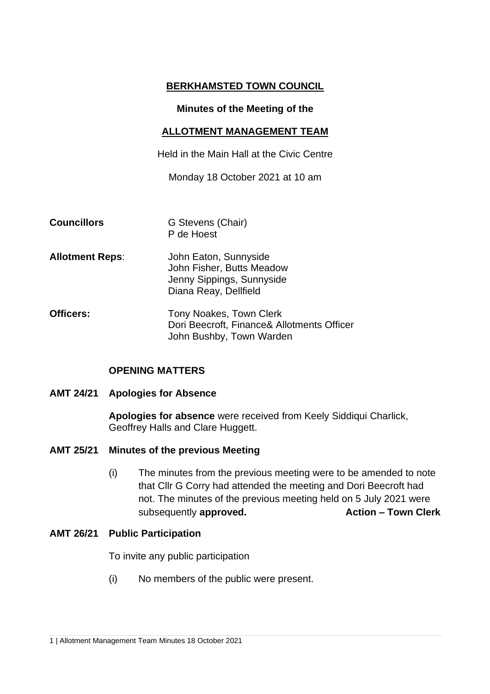## **BERKHAMSTED TOWN COUNCIL**

#### **Minutes of the Meeting of the**

#### **ALLOTMENT MANAGEMENT TEAM**

Held in the Main Hall at the Civic Centre

Monday 18 October 2021 at 10 am

- **Councillors G** Stevens (Chair) P de Hoest
- **Allotment Reps**: John Eaton, Sunnyside John Fisher, Butts Meadow Jenny Sippings, Sunnyside Diana Reay, Dellfield
- **Officers:** Tony Noakes, Town Clerk Dori Beecroft, Finance& Allotments Officer John Bushby, Town Warden

### **OPENING MATTERS**

### **AMT 24/21 Apologies for Absence**

**Apologies for absence** were received from Keely Siddiqui Charlick, Geoffrey Halls and Clare Huggett.

- **AMT 25/21 Minutes of the previous Meeting** 
	- (i) The minutes from the previous meeting were to be amended to note that Cllr G Corry had attended the meeting and Dori Beecroft had not. The minutes of the previous meeting held on 5 July 2021 were subsequently **approved. Action – Town Clerk**

### **AMT 26/21 Public Participation**

To invite any public participation

(i) No members of the public were present.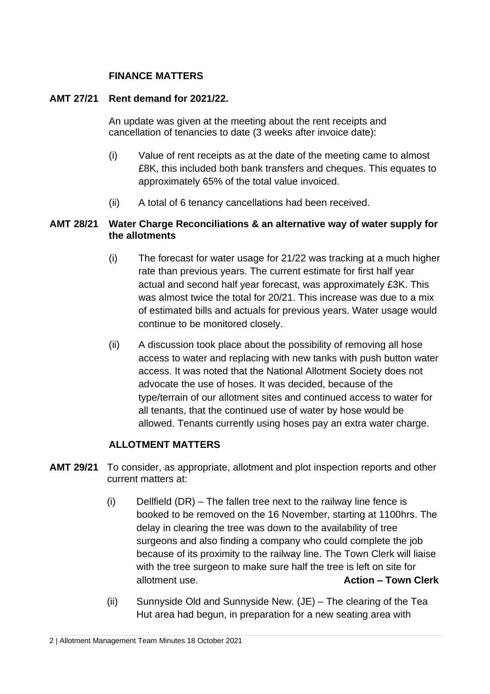# **FINANCE MATTERS**

### **AMT 27/21 Rent demand for 2021/22.**

An update was given at the meeting about the rent receipts and cancellation of tenancies to date (3 weeks after invoice date):

- (i) Value of rent receipts as at the date of the meeting came to almost £8K, this included both bank transfers and cheques. This equates to approximately 65% of the total value invoiced.
- (ii) A total of 6 tenancy cancellations had been received.

# **AMT 28/21 Water Charge Reconciliations & an alternative way of water supply for the allotments**

- (i) The forecast for water usage for 21/22 was tracking at a much higher rate than previous years. The current estimate for first half year actual and second half year forecast, was approximately £3K. This was almost twice the total for 20/21. This increase was due to a mix of estimated bills and actuals for previous years. Water usage would continue to be monitored closely.
- (ii) A discussion took place about the possibility of removing all hose access to water and replacing with new tanks with push button water access. It was noted that the National Allotment Society does not advocate the use of hoses. It was decided, because of the type/terrain of our allotment sites and continued access to water for all tenants, that the continued use of water by hose would be allowed. Tenants currently using hoses pay an extra water charge.

# **ALLOTMENT MATTERS**

- **AMT 29/21** To consider, as appropriate, allotment and plot inspection reports and other current matters at:
	- (i) Dellfield (DR) The fallen tree next to the railway line fence is booked to be removed on the 16 November, starting at 1100hrs. The delay in clearing the tree was down to the availability of tree surgeons and also finding a company who could complete the job because of its proximity to the railway line. The Town Clerk will liaise with the tree surgeon to make sure half the tree is left on site for allotment use. **Action – Town Clerk**
	- (ii) Sunnyside Old and Sunnyside New. (JE) The clearing of the Tea Hut area had begun, in preparation for a new seating area with